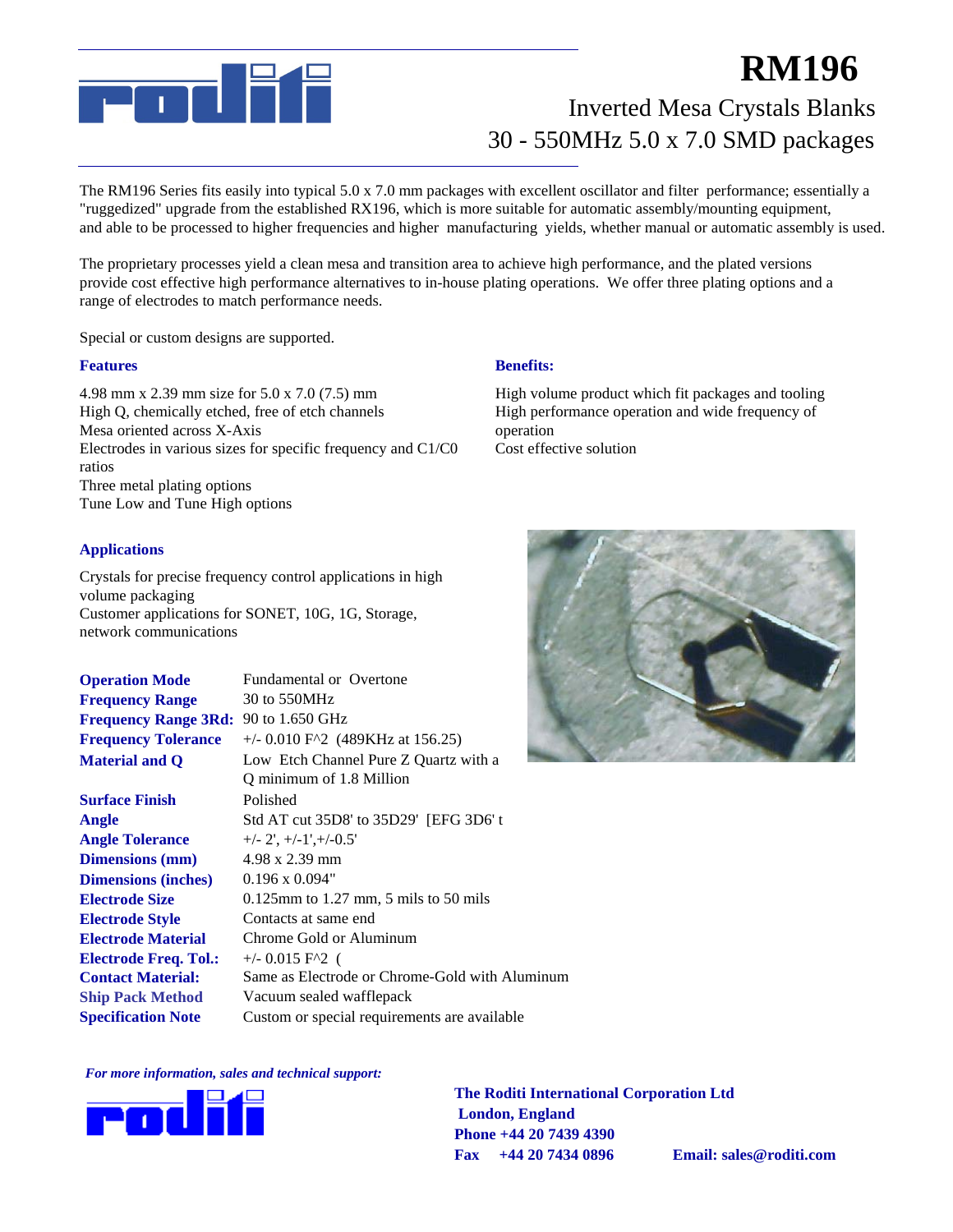

# Inverted Mesa Crystals Blanks **RM196** 30 - 550MHz 5.0 x 7.0 SMD packages

The RM196 Series fits easily into typical 5.0 x 7.0 mm packages with excellent oscillator and filter performance; essentially a "ruggedized" upgrade from the established RX196, which is more suitable for automatic assembly/mounting equipment, and able to be processed to higher frequencies and higher manufacturing yields, whether manual or automatic assembly is used. mm Tolerances

The proprietary processes yield a clean mesa and transition area to achieve high performance, and the plated versions provide cost effective high performance alternatives to in-house plating operations. We offer three plating options and a range of electrodes to match performance needs.

Special or custom designs are supported.

#### **Features**

4.98 mm x 2.39 mm size for 5.0 x 7.0 (7.5) mm High Q, chemically etched, free of etch channels Mesa oriented across X-Axis Electrodes in various sizes for specific frequency and C1/C0 ratios Three metal plating options Tune Low and Tune High options

#### **Applications**

Crystals for precise frequency control applications in high volume packaging Customer applications for SONET, 10G, 1G, Storage, network communications

| <b>Operation Mode</b>                | <b>Fundamental or Overtone</b>                                     |  |
|--------------------------------------|--------------------------------------------------------------------|--|
| <b>Frequency Range</b>               | 30 to 550MHz                                                       |  |
| Frequency Range 3Rd: 90 to 1.650 GHz |                                                                    |  |
| <b>Frequency Tolerance</b>           | $+/- 0.010$ F <sup><math>\lambda</math></sup> 2 (489KHz at 156.25) |  |
| <b>Material and Q</b>                | Low Etch Channel Pure Z Quartz with a                              |  |
|                                      | Q minimum of 1.8 Million                                           |  |
| <b>Surface Finish</b>                | Polished                                                           |  |
| Angle                                | Std AT cut 35D8' to 35D29' [EFG 3D6' t                             |  |
| <b>Angle Tolerance</b>               | $+/- 2$ ', $+/-1$ ', $+/-0.5$ '                                    |  |
| <b>Dimensions</b> (mm)               | $4.98 \times 2.39$ mm                                              |  |
| <b>Dimensions (inches)</b>           | $0.196 \times 0.094$ "                                             |  |
| <b>Electrode Size</b>                | $0.125$ mm to 1.27 mm, 5 mils to 50 mils                           |  |
| <b>Electrode Style</b>               | Contacts at same end                                               |  |
| <b>Electrode Material</b>            | Chrome Gold or Aluminum                                            |  |
| <b>Electrode Freq. Tol.:</b>         | $+/- 0.015$ F <sup><math>\wedge</math>2 (</sup>                    |  |
| <b>Contact Material:</b>             | Same as Electrode or Chrome-Gold with Aluminum                     |  |
| <b>Ship Pack Method</b>              | Vacuum sealed wafflepack                                           |  |
| <b>Specification Note</b>            | Custom or special requirements are available.                      |  |

#### *For more information, sales and technical support:*



**The Roditi International Corporation Ltd London, England Phone +44 20 7439 4390 Fax +44 20 7434 0896 Email: sales@roditi.com**

#### **Benefits:**

High volume product which fit packages and tooling High performance operation and wide frequency of operation Cost effective solution